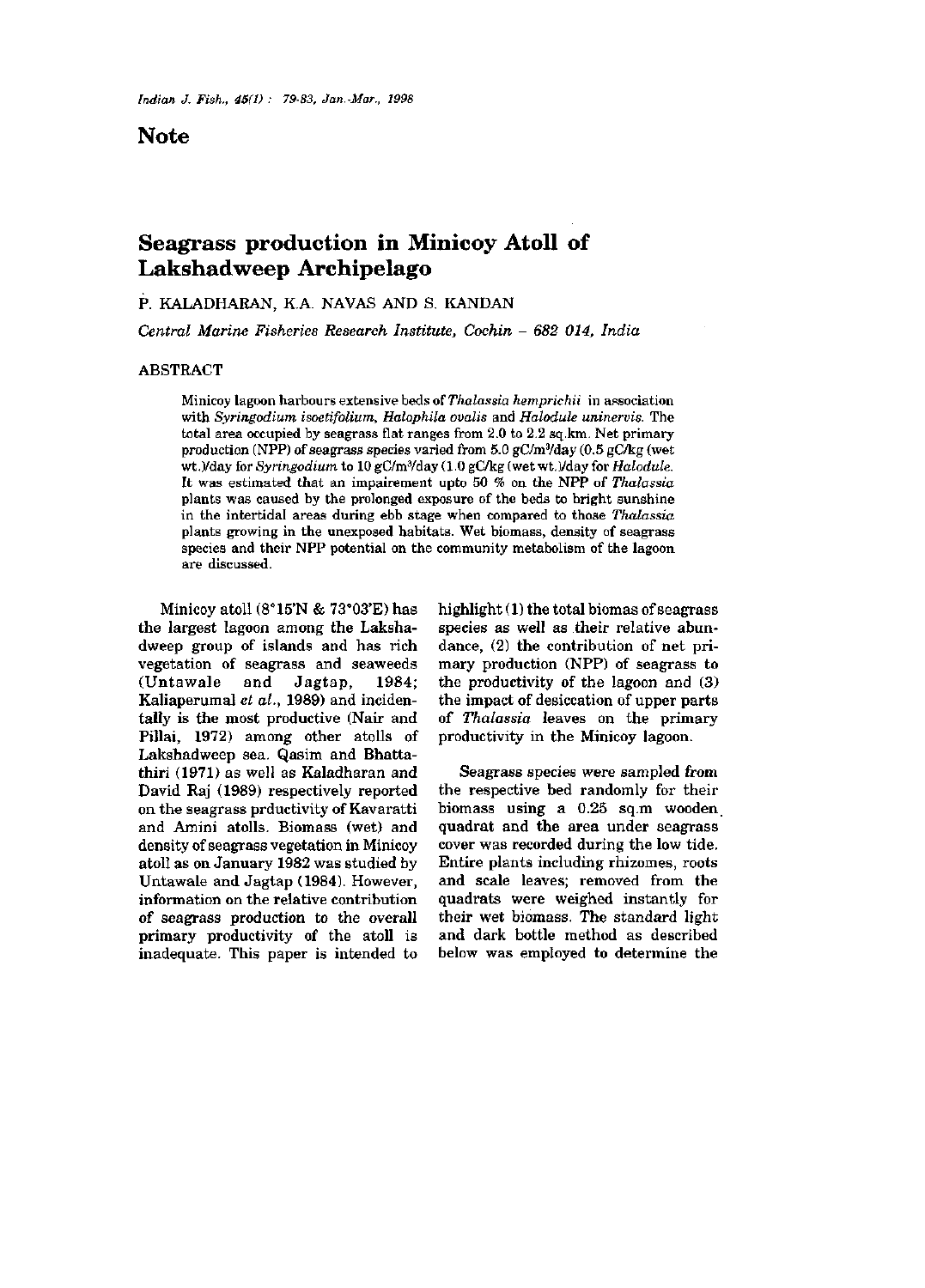## Note

# Seagrass production in Minicoy Atoll of Lakshadweep Archipelago

p. KALADHARAN, K.A. NAVAS AND S. KANDAN

*Central Marine Fisheries Research Institute, Cochin - 682 014, India* 

### ABSTRACT

Minicoy lagoon harbours extensive beds *oiThalassia hemprichii* in apsociation with *Syringodium isoetifolium, Halophila ovalis* and *Halodule uninervis.* The total area occupied by seagrass flat ranges from 2.0 to 2.2 sq.km. Net primary production (NPP) of seagrass species varied from  $5.0$  gC/m $\frac{3}{4}$ day (0.5 gC/kg (wet wt.)/day for *Syringodium* to 10 gC/m¥day (1.0 gC/kg (wet wt.)/day for *Halodule.*  It was estimated that an impairement upto 50 % on the NPP of *Thalassia*  plants was caused by the prolonged exposure of the beds to bright sunshine in the intertidal areas during ebb stage when compared to those *Thalassia*  plants growing in the unexposed habitats. Wet biomass, density of seagrass species and their NPP potential on the community metabolism of the lagoon are discussed.

Minicoy atoll  $(8^{\circ}15'N \& 73^{\circ}03'E)$  has the largest lagoon among the Lakshadweep group of islands and has rich vegetation of seagrass and seaweeds (Untawale and Jagtap, 1984; Kaliaperumal *et al.,* 1989) and incidentally is the most productive (Nair and Pillai, 1972) among other atolls of Lakshadweep sea. Qasim and Bhattathiri (1971) as well as Kaladharan and David Raj (1989) respectively reported on the seagrass prductivity of Kavaratti and Amini atolls. Biomass (wet) and density of seagrass vegetation in Minicoy atoll as on January 1982 was studied by Untawale and Jagtap (1984). However, information on the relative contribution of seagrass production to the overall primary productivity of the atoll is inadequate. This paper is intended to highlight (1) the total biomas of seagrass species as well as their relative abundance, (2) the contribution of net primary production (NPP) of seagrass to the productivity of the lagoon and (3) the impact of desiccation of upper parts of *Thalassia* leaves on the primary productivity in the Minicoy lagoon.

Seagrass species were sampled from the respective bed randomly for their biomass using a 0.25 sq.m wooden, quadrat and the area under seagrass cover was recorded during the low tide. Entire plants including rhizomes, roots and scale leaves; removed from the quadrats were weighed instantly for their wet biomass. The standard light and dark bottle method as described below was employed to determine the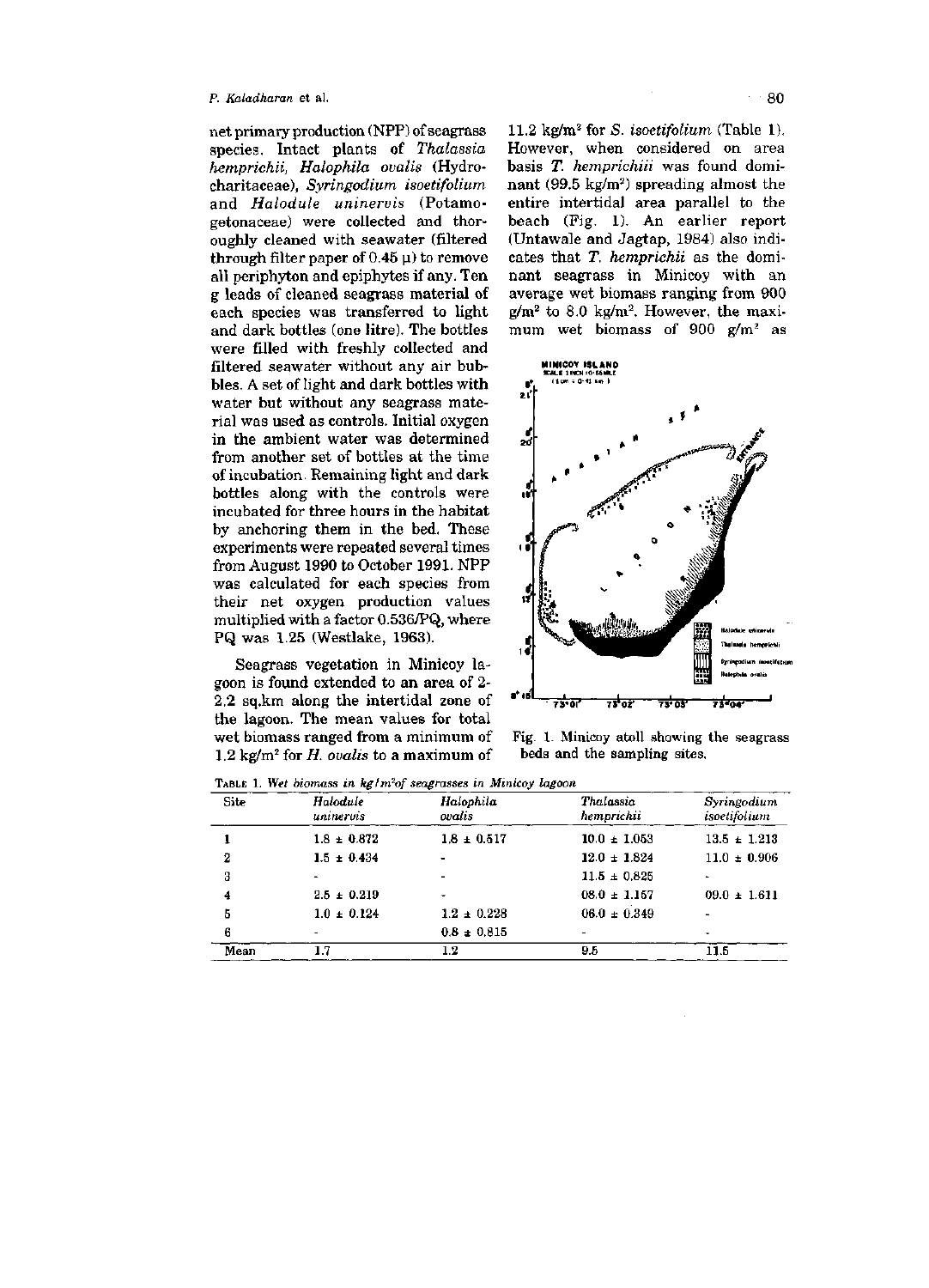#### *p. Kaladharan* et al. **80**

net primary production (NPP) of seagrass species. Intact plants of *Thalassia hemprichii, Halophila ovalis* (Hydrocharitaceae), *Syringodium isoetifolium*  and *Halodule uninervis* (Potamogetonaceae) were collected and thoroughly cleaned with seawater (filtered through filter paper of  $0.45 \mu$ ) to remove all periphyton and epiphytes if any. Ten g leads of cleaned seagrass material of each species was transferred to light and dark bottles (one litre). The bottles were filled with freshly collected and filtered seawater without any air bubbles. A set of light and dark bottles with water but without any seagrass material was used as controls. Initial oxygen in the ambient water was determined from another set of bottles at the time of incubation. Remaining light and dark bottles along with the controls were incubated for three hours in the habitat by anchoring them in the bed. These experiments were repeated several times from August 1990 to October 1991. NPP was calculated for each species from their net oxygen production values multiplied with a factor 0.536/PQ, where PQ was 1.25 (Westlake, 1963).

Seagrass vegetation in Minicoy lagoon is found extended to an area of 2- 2.2 sq.km along the intertidal zone of the lagoon. The mean values for total wet biomass ranged from a minimum of 1.2 kg/m^ for *H. ovalis* to a maximum of 11.2 kg/m^ for *S. isoetifolium* (Table 1). However, when considered on area basis *T. hemprichiii* was found dominant (99.5 kg/m<sup>2</sup>) spreading almost the entire intertidal area parallel to the beach (Fig. 1). An earlier report (Untawale and Jagtap, 1984) also indicates that *T. hemprichii* as the dominant seagrass in Minicoy with an average wet biomass ranging from 900  $g/m^2$  to 8.0 kg/m<sup>2</sup>. However, the maximum wet biomass of 900  $g/m^2$  as



Fig. 1. Minicoy atoll showing the seagrass beds and the sampling sites.

TABLE 1. *Wet biomass in kg/m^of seagrasses in Minicoy lagoon* 

| Site | Halodule<br>uninervis | Halophila<br>ovalis | Thalassia<br>hemprichii | Syringodium<br>isoetifolium |
|------|-----------------------|---------------------|-------------------------|-----------------------------|
|      | $1.8 \pm 0.872$       | $1.8 \pm 0.517$     | $10.0 \pm 1.053$        | $13.5 \pm 1.213$            |
| 2    | $1.5 \pm 0.434$       |                     | $12.0 \pm 1.824$        | $11.0 \pm 0.906$            |
| 3    |                       |                     | $11.5 \pm 0.825$        |                             |
| 4    | $2.5 \pm 0.219$       |                     | $08.0 \pm 1.157$        | $09.0 \pm 1.611$            |
| 5    | $1.0 \pm 0.124$       | $1.2 \pm 0.228$     | $06.0 \pm 0.349$        |                             |
| 6    |                       | $0.8 \pm 0.815$     |                         |                             |
| Mean | 1.7                   | $1.2\,$             | 9.5                     | 11.5                        |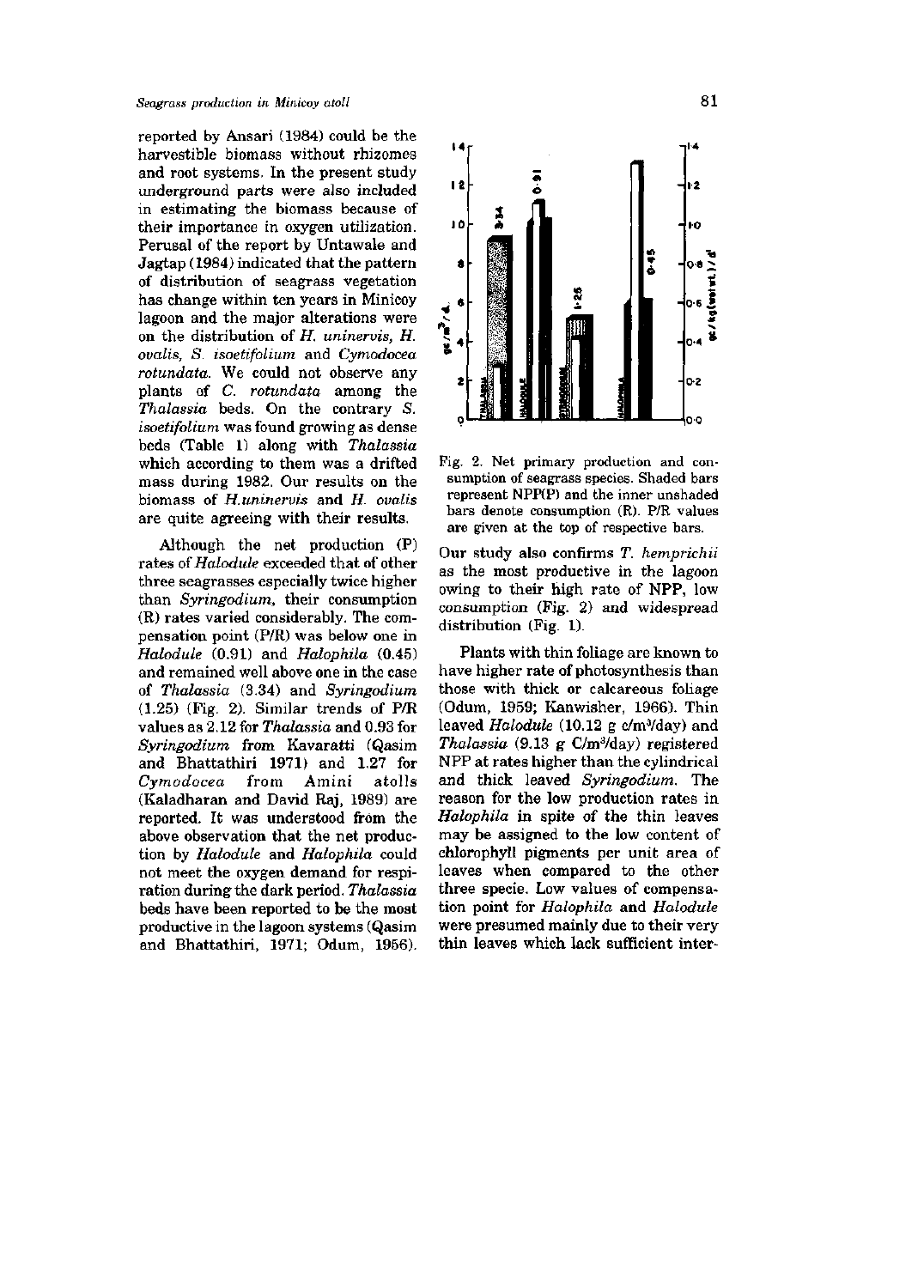reported by Ansari (1984) could be the harvestible biomass without rhizomes and root systems. In the present study underground parts were also included in estimating the biomass because of their importance in oxygen utilization. Perusal of the report by Untawale and Jagtap (1984) indicated that the pattern of distribution of seagrass vegetation has change within ten years in Minicoy lagoon and the major alterations were on the distribution of *H. uninervis, H. ovalis, S. isoetifolium* and *Cymodocea rotundata.* We could not observe any plants of *C. rotundata* among the *Thalassia* beds. On the contrary *S. isoetifolium* was found growing as dense beds (Table 1) along with *Thalassia*  which according to them was a drifted mass during 1982. Our results on the biomass of *H.uninervis* and *H. ovalis*  are quite agreeing with their results.

Although the net production (P) rates *of Halodule* exceeded that of other three seagrasses especially twice higher than *Syringodium,* their consumption (R) rates varied considerably. The compensation point (P/R) was below one in *Halodule* (0.91) and *Halophila* (0.45) and remained well above one in the case of *Thalassia* (3.34) and *Syringodium*  (1.25) (Fig. 2). Similar trends of P/R values as 2.12 for *Thalassia* and 0.93 for *Syringodium* from Kavaratti (Qasim and Bhattathiri 1971) and 1.27 for *Cymodocea* from Amini atolls (Kaladharan and David Raj, 1989) are reported. It was understood from the above observation that the net production by *Halodule* and *Halophila* could not meet the oxygen demand for respiration during the dark period. *Thalassia*  beds have been reported to be the most productive in the lagoon systems (Qasim and Bhattathiri, 1971; Odum, 1956).





Our study also confirms *T. hemprichii*  as the most productive in the lagoon owing to their high rate of NPP, low consumption (Fig. 2) and widespread distribution (Fig. 1).

Plants with thin foliage are known to have higher rate of photosynthesis than those with thick or calcareous foliage (Odum, 1959; Kanwisher, 1966). Thin leaved *Halodule* (10.12 g c/m<sup>3</sup>/day) and *Thalassia* (9.13 g C/m^/day) registered NPP at rates higher than the cylindrical and thick leaved *Syringodium.* The reason for the low production rates in *Halophila* in spite of the thin leaves may be assigned to the low content of chlorophyll pigments per unit area of leaves when compared to the other three specie. Low values of compensation point for *Halophila* and *Halodule*  were presumed mainly due to their very thin leaves which lack sufficient inter-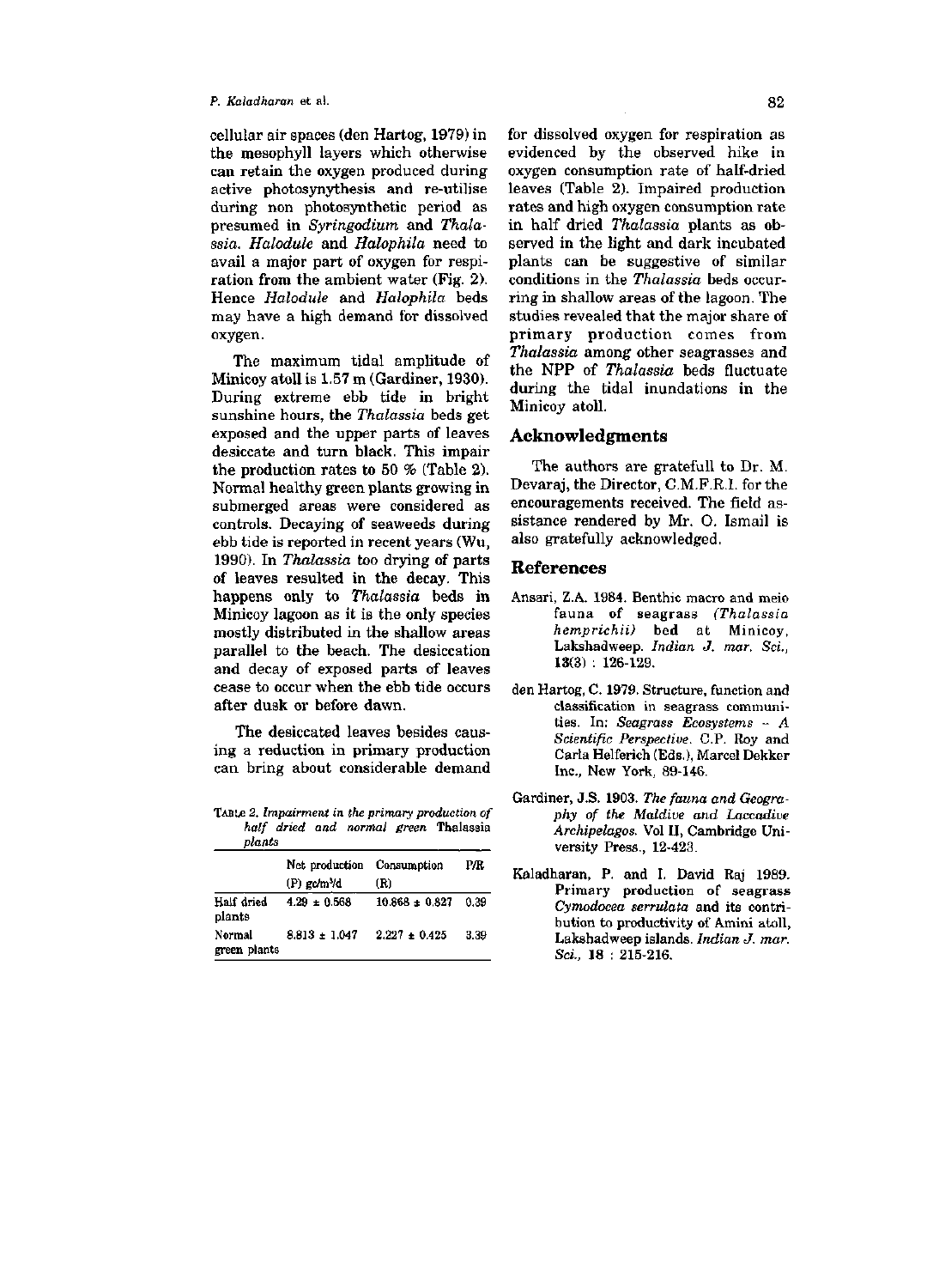#### *p. Kaladharan* et al. 82

cellular air spaces (den Hartog, 1979) in the mesophyll layers which otherwise can retain the oxygen produced during active photosynythesis and re-utilise during non photosynthetic period as presumed in *Syringodium* and *Thalassia. Halodule* and *Halophila* need to avail a major part of oxygen for respiration from the ambient water (Fig. 2). Hence *Halodule* and *Halophila* beds may have a high demand for dissolved oxygen.

The maximum tidal amplitude of Minicoy atoll is 1.57 m (Gardiner, 1930). During extreme ebb tide in bright sunshine hours, the *Thalassia* beds get exposed and the upper parts of leaves desiccate and turn black. This impair the production rates to 50 *%* (Table 2). Normal healthy green plants growing in submerged areas were considered as controls. Decaying of seaweeds during ebb tide is reported in recent years (Wu, 1990). In *Thalassia* too drying of parts of leaves resulted in the decay. This happens only to *Thalassia* beds in Minicoy lagoon as it is the only species mostly distributed in the shallow areas parallel to the beach. The desiccation and decay of exposed parts of leaves cease to occur when the ebb tide occurs after dusk or before dawn.

The desiccated leaves besides causing a reduction in primary production can bring about considerable demand

TABLB *2. Impairment in the primary production of half dried and normal green* Thalassia *plants* 

|                        | -------                    |                    |      |  |  |  |
|------------------------|----------------------------|--------------------|------|--|--|--|
|                        | Net production             | Consumption        | PÆ   |  |  |  |
|                        | $(P)$ gc/m <sup>3</sup> /d | (R)                |      |  |  |  |
| Half dried<br>plants   | $4.29 \pm 0.568$           | $10.868 \pm 0.827$ | 0.39 |  |  |  |
| Normal<br>green plants | $8.813 \pm 1.047$          | $2.227 \pm 0.425$  | 3.39 |  |  |  |

for dissolved oxygen for respiration as evidenced by the observed hike in oxygen consumption rate of half-dried leaves (Table 2). Impaired production rates and high oxygen consumption rate in half dried *Thalassia* plants as observed in the light and dark incubated plants can be suggestive of similar conditions in the *Thalassia* beds occurring in shallow areas of the lagoon. The studies revealed that the major share of primary production comes from *Thalassia* among other seagrasses and the NPP of *Thalassia* beds fluctuate during the tidal inundations in the Minicoy atoll.

## Acknowledgments

The authors are gratefull to Dr. M. Devaraj, the Director, C.M.F.R.I. for the encouragements received. The field assistance rendered by Mr. O. Ismail is also gratefully acknowledged.

## References

- Ansari, Z.A. 1984. Benthic macro and meio fauna of seagrass *(Thalassia hemprichii)* bed at Minicoy, Lakshadweep. *Indian J. mar. Sci.,*  13(3) : 126-129.
- den Hartog, C. 1979. Structure, function and classification in seagrass communities. In: *Seagrass Ecosystems - A Scientific Perspective.* C.P. Roy and Carla Helferich (Eds.), Marcel Dekker Inc., New York, 89-146.
- Gardiner, J.S. 1903. *The fauna and Geography of the Maldive and Laccadive Archipelagos.* Vol II, Cambridge University Press., 12-423.
- Kaladharan, P. and I. David Raj 1989. Primary production of seagrass *Cymodocea serrulata* and its contribution to productivity of Amini atoll, Lakshadweep islands. *Indian J. mar. Sci.,* 18 : 215-216.